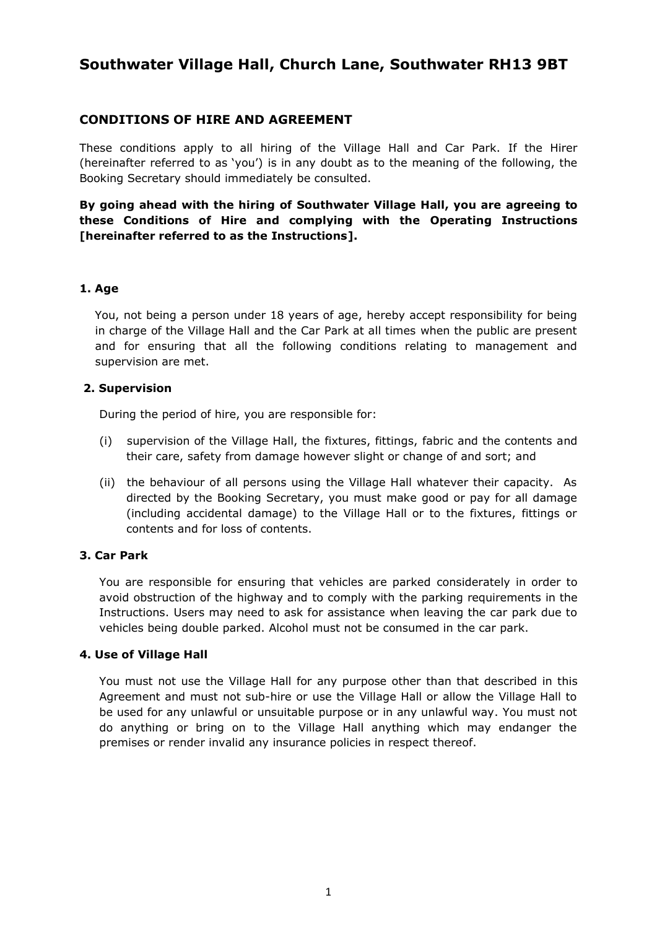# **Southwater Village Hall, Church Lane, Southwater RH13 9BT**

## **CONDITIONS OF HIRE AND AGREEMENT**

These conditions apply to all hiring of the Village Hall and Car Park. If the Hirer (hereinafter referred to as 'you') is in any doubt as to the meaning of the following, the Booking Secretary should immediately be consulted.

**By going ahead with the hiring of Southwater Village Hall, you are agreeing to these Conditions of Hire and complying with the Operating Instructions [hereinafter referred to as the Instructions].**

#### **1. Age**

 You, not being a person under 18 years of age, hereby accept responsibility for being in charge of the Village Hall and the Car Park at all times when the public are present and for ensuring that all the following conditions relating to management and supervision are met.

#### **2. Supervision**

During the period of hire, you are responsible for:

- (i) supervision of the Village Hall, the fixtures, fittings, fabric and the contents and their care, safety from damage however slight or change of and sort; and
- (ii) the behaviour of all persons using the Village Hall whatever their capacity. As directed by the Booking Secretary, you must make good or pay for all damage (including accidental damage) to the Village Hall or to the fixtures, fittings or contents and for loss of contents.

#### **3. Car Park**

You are responsible for ensuring that vehicles are parked considerately in order to avoid obstruction of the highway and to comply with the parking requirements in the Instructions. Users may need to ask for assistance when leaving the car park due to vehicles being double parked. Alcohol must not be consumed in the car park.

#### **4. Use of Village Hall**

You must not use the Village Hall for any purpose other than that described in this Agreement and must not sub-hire or use the Village Hall or allow the Village Hall to be used for any unlawful or unsuitable purpose or in any unlawful way. You must not do anything or bring on to the Village Hall anything which may endanger the premises or render invalid any insurance policies in respect thereof.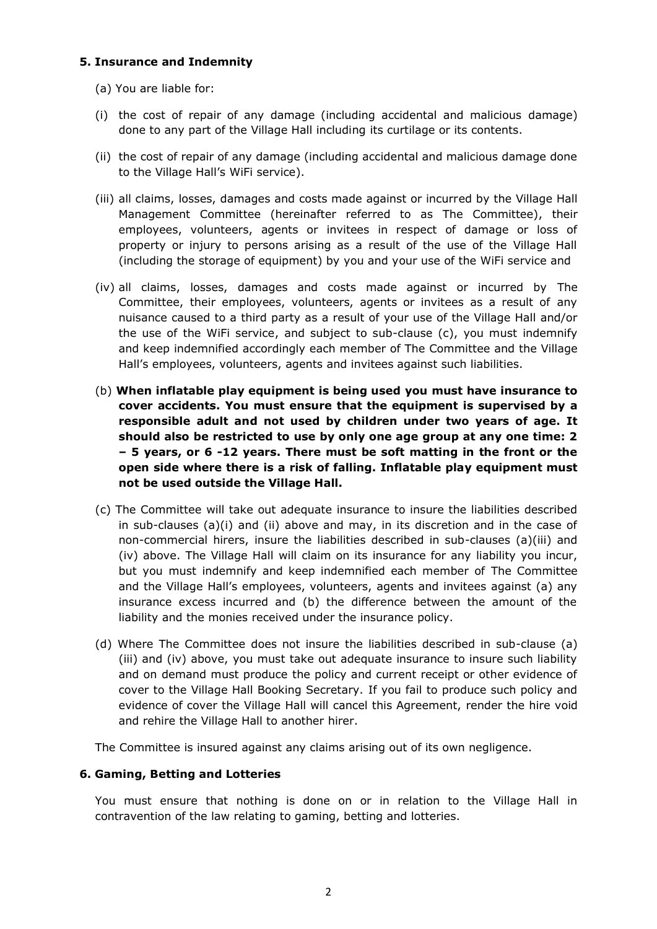#### **5. Insurance and Indemnity**

- (a) You are liable for:
- (i) the cost of repair of any damage (including accidental and malicious damage) done to any part of the Village Hall including its curtilage or its contents.
- (ii) the cost of repair of any damage (including accidental and malicious damage done to the Village Hall's WiFi service).
- (iii) all claims, losses, damages and costs made against or incurred by the Village Hall Management Committee (hereinafter referred to as The Committee), their employees, volunteers, agents or invitees in respect of damage or loss of property or injury to persons arising as a result of the use of the Village Hall (including the storage of equipment) by you and your use of the WiFi service and
- (iv) all claims, losses, damages and costs made against or incurred by The Committee, their employees, volunteers, agents or invitees as a result of any nuisance caused to a third party as a result of your use of the Village Hall and/or the use of the WiFi service, and subject to sub-clause (c), you must indemnify and keep indemnified accordingly each member of The Committee and the Village Hall's employees, volunteers, agents and invitees against such liabilities.
- (b) **When inflatable play equipment is being used you must have insurance to cover accidents. You must ensure that the equipment is supervised by a responsible adult and not used by children under two years of age. It should also be restricted to use by only one age group at any one time: 2 – 5 years, or 6 -12 years. There must be soft matting in the front or the open side where there is a risk of falling. Inflatable play equipment must not be used outside the Village Hall.**
- (c) The Committee will take out adequate insurance to insure the liabilities described in sub-clauses (a)(i) and (ii) above and may, in its discretion and in the case of non-commercial hirers, insure the liabilities described in sub-clauses (a)(iii) and (iv) above. The Village Hall will claim on its insurance for any liability you incur, but you must indemnify and keep indemnified each member of The Committee and the Village Hall's employees, volunteers, agents and invitees against (a) any insurance excess incurred and (b) the difference between the amount of the liability and the monies received under the insurance policy.
- (d) Where The Committee does not insure the liabilities described in sub-clause (a) (iii) and (iv) above, you must take out adequate insurance to insure such liability and on demand must produce the policy and current receipt or other evidence of cover to the Village Hall Booking Secretary. If you fail to produce such policy and evidence of cover the Village Hall will cancel this Agreement, render the hire void and rehire the Village Hall to another hirer.

The Committee is insured against any claims arising out of its own negligence.

#### **6. Gaming, Betting and Lotteries**

You must ensure that nothing is done on or in relation to the Village Hall in contravention of the law relating to gaming, betting and lotteries.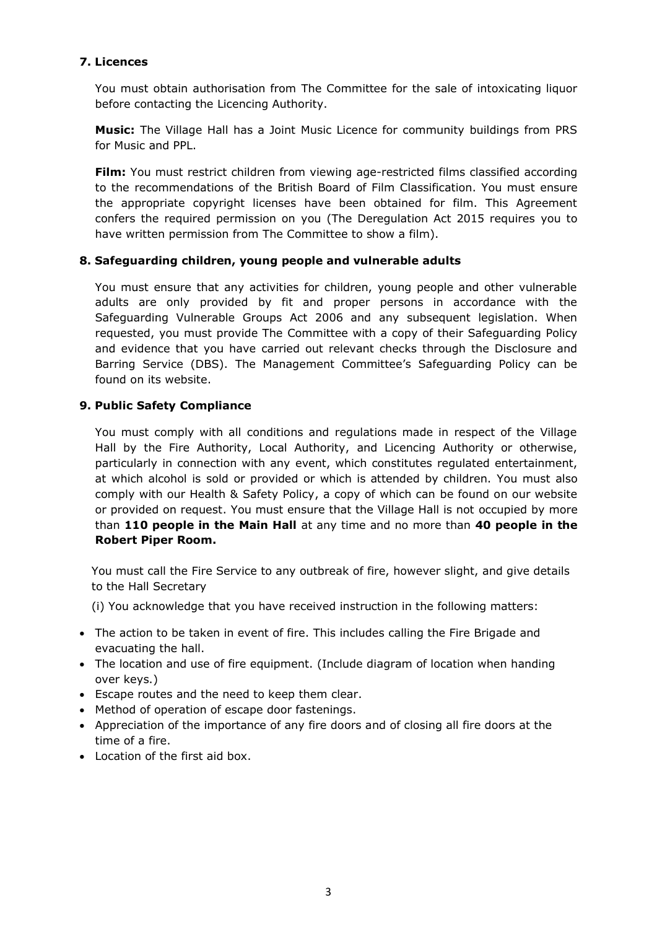#### **7. Licences**

You must obtain authorisation from The Committee for the sale of intoxicating liquor before contacting the Licencing Authority.

**Music:** The Village Hall has a Joint Music Licence for community buildings from PRS for Music and PPL.

**Film:** You must restrict children from viewing age-restricted films classified according to the recommendations of the British Board of Film Classification. You must ensure the appropriate copyright licenses have been obtained for film. This Agreement confers the required permission on you (The Deregulation Act 2015 requires you to have written permission from The Committee to show a film).

#### **8. Safeguarding children, young people and vulnerable adults**

You must ensure that any activities for children, young people and other vulnerable adults are only provided by fit and proper persons in accordance with the Safeguarding Vulnerable Groups Act 2006 and any subsequent legislation. When requested, you must provide The Committee with a copy of their Safeguarding Policy and evidence that you have carried out relevant checks through the Disclosure and Barring Service (DBS). The Management Committee's Safeguarding Policy can be found on its website.

#### **9. Public Safety Compliance**

You must comply with all conditions and regulations made in respect of the Village Hall by the Fire Authority, Local Authority, and Licencing Authority or otherwise, particularly in connection with any event, which constitutes regulated entertainment, at which alcohol is sold or provided or which is attended by children. You must also comply with our Health & Safety Policy, a copy of which can be found on our website or provided on request. You must ensure that the Village Hall is not occupied by more than **110 people in the Main Hall** at any time and no more than **40 people in the Robert Piper Room.**

You must call the Fire Service to any outbreak of fire, however slight, and give details to the Hall Secretary

- (i) You acknowledge that you have received instruction in the following matters:
- The action to be taken in event of fire. This includes calling the Fire Brigade and evacuating the hall.
- The location and use of fire equipment. (Include diagram of location when handing over keys.)
- Escape routes and the need to keep them clear.
- Method of operation of escape door fastenings.
- Appreciation of the importance of any fire doors and of closing all fire doors at the time of a fire.
- Location of the first aid box.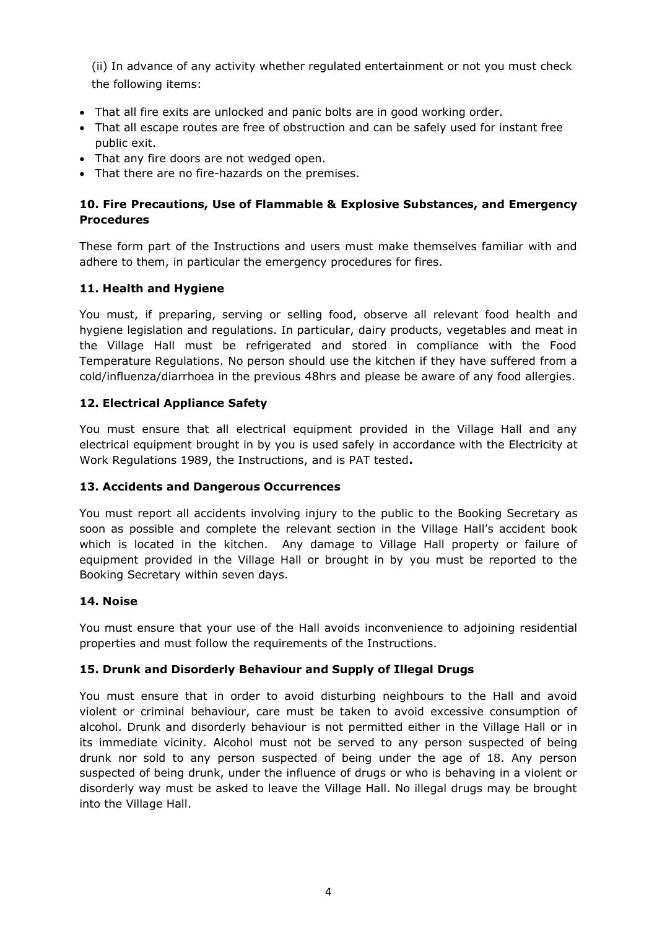(ii) In advance of any activity whether regulated entertainment or not you must check the following items:

- That all fire exits are unlocked and panic bolts are in good working order.
- That all escape routes are free of obstruction and can be safely used for instant free public exit.
- That any fire doors are not wedged open.
- That there are no fire-hazards on the premises.

## **10. Fire Precautions, Use of Flammable & Explosive Substances, and Emergency Procedures**

These form part of the Instructions and users must make themselves familiar with and adhere to them, in particular the emergency procedures for fires.

#### **11. Health and Hygiene**

You must, if preparing, serving or selling food, observe all relevant food health and hygiene legislation and regulations. In particular, dairy products, vegetables and meat in the Village Hall must be refrigerated and stored in compliance with the Food Temperature Regulations. No person should use the kitchen if they have suffered from a cold/influenza/diarrhoea in the previous 48hrs and please be aware of any food allergies.

#### **12. Electrical Appliance Safety**

You must ensure that all electrical equipment provided in the Village Hall and any electrical equipment brought in by you is used safely in accordance with the Electricity at Work Regulations 1989, the Instructions, and is PAT tested**.**

#### **13. Accidents and Dangerous Occurrences**

You must report all accidents involving injury to the public to the Booking Secretary as soon as possible and complete the relevant section in the Village Hall's accident book which is located in the kitchen. Any damage to Village Hall property or failure of equipment provided in the Village Hall or brought in by you must be reported to the Booking Secretary within seven days.

#### **14. Noise**

You must ensure that your use of the Hall avoids inconvenience to adjoining residential properties and must follow the requirements of the Instructions.

#### **15. Drunk and Disorderly Behaviour and Supply of Illegal Drugs**

You must ensure that in order to avoid disturbing neighbours to the Hall and avoid violent or criminal behaviour, care must be taken to avoid excessive consumption of alcohol. Drunk and disorderly behaviour is not permitted either in the Village Hall or in its immediate vicinity. Alcohol must not be served to any person suspected of being drunk nor sold to any person suspected of being under the age of 18. Any person suspected of being drunk, under the influence of drugs or who is behaving in a violent or disorderly way must be asked to leave the Village Hall. No illegal drugs may be brought into the Village Hall.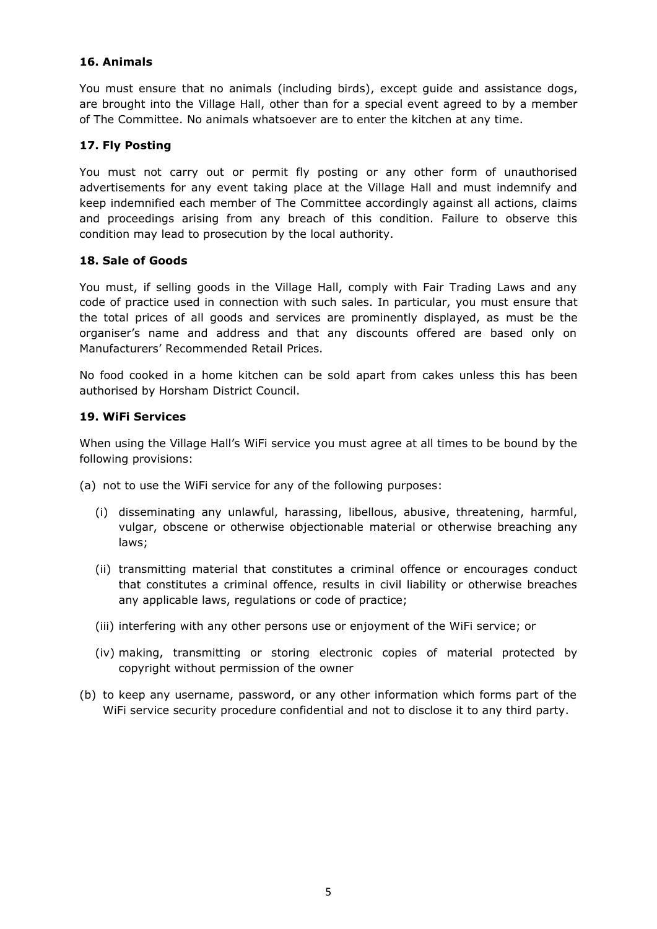#### **16. Animals**

You must ensure that no animals (including birds), except guide and assistance dogs, are brought into the Village Hall, other than for a special event agreed to by a member of The Committee. No animals whatsoever are to enter the kitchen at any time.

#### **17. Fly Posting**

You must not carry out or permit fly posting or any other form of unauthorised advertisements for any event taking place at the Village Hall and must indemnify and keep indemnified each member of The Committee accordingly against all actions, claims and proceedings arising from any breach of this condition. Failure to observe this condition may lead to prosecution by the local authority.

#### **18. Sale of Goods**

You must, if selling goods in the Village Hall, comply with Fair Trading Laws and any code of practice used in connection with such sales. In particular, you must ensure that the total prices of all goods and services are prominently displayed, as must be the organiser's name and address and that any discounts offered are based only on Manufacturers' Recommended Retail Prices.

No food cooked in a home kitchen can be sold apart from cakes unless this has been authorised by Horsham District Council.

#### **19. WiFi Services**

When using the Village Hall's WiFi service you must agree at all times to be bound by the following provisions:

- (a) not to use the WiFi service for any of the following purposes:
	- (i) disseminating any unlawful, harassing, libellous, abusive, threatening, harmful, vulgar, obscene or otherwise objectionable material or otherwise breaching any laws;
	- (ii) transmitting material that constitutes a criminal offence or encourages conduct that constitutes a criminal offence, results in civil liability or otherwise breaches any applicable laws, regulations or code of practice;
	- (iii) interfering with any other persons use or enjoyment of the WiFi service; or
	- (iv) making, transmitting or storing electronic copies of material protected by copyright without permission of the owner
- (b) to keep any username, password, or any other information which forms part of the WiFi service security procedure confidential and not to disclose it to any third party.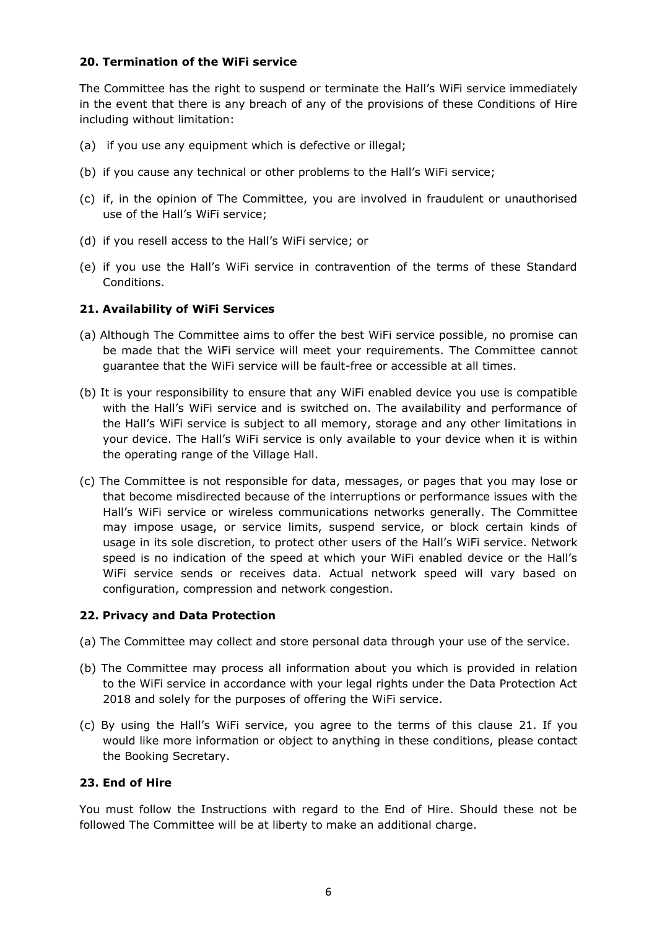#### **20. Termination of the WiFi service**

The Committee has the right to suspend or terminate the Hall's WiFi service immediately in the event that there is any breach of any of the provisions of these Conditions of Hire including without limitation:

- (a) if you use any equipment which is defective or illegal;
- (b) if you cause any technical or other problems to the Hall's WiFi service;
- (c) if, in the opinion of The Committee, you are involved in fraudulent or unauthorised use of the Hall's WiFi service;
- (d) if you resell access to the Hall's WiFi service; or
- (e) if you use the Hall's WiFi service in contravention of the terms of these Standard Conditions.

#### **21. Availability of WiFi Services**

- (a) Although The Committee aims to offer the best WiFi service possible, no promise can be made that the WiFi service will meet your requirements. The Committee cannot guarantee that the WiFi service will be fault-free or accessible at all times.
- (b) It is your responsibility to ensure that any WiFi enabled device you use is compatible with the Hall's WiFi service and is switched on. The availability and performance of the Hall's WiFi service is subject to all memory, storage and any other limitations in your device. The Hall's WiFi service is only available to your device when it is within the operating range of the Village Hall.
- (c) The Committee is not responsible for data, messages, or pages that you may lose or that become misdirected because of the interruptions or performance issues with the Hall's WiFi service or wireless communications networks generally. The Committee may impose usage, or service limits, suspend service, or block certain kinds of usage in its sole discretion, to protect other users of the Hall's WiFi service. Network speed is no indication of the speed at which your WiFi enabled device or the Hall's WiFi service sends or receives data. Actual network speed will vary based on configuration, compression and network congestion.

#### **22. Privacy and Data Protection**

- (a) The Committee may collect and store personal data through your use of the service.
- (b) The Committee may process all information about you which is provided in relation to the WiFi service in accordance with your legal rights under the Data Protection Act 2018 and solely for the purposes of offering the WiFi service.
- (c) By using the Hall's WiFi service, you agree to the terms of this clause 21. If you would like more information or object to anything in these conditions, please contact the Booking Secretary.

#### **23. End of Hire**

You must follow the Instructions with regard to the End of Hire. Should these not be followed The Committee will be at liberty to make an additional charge.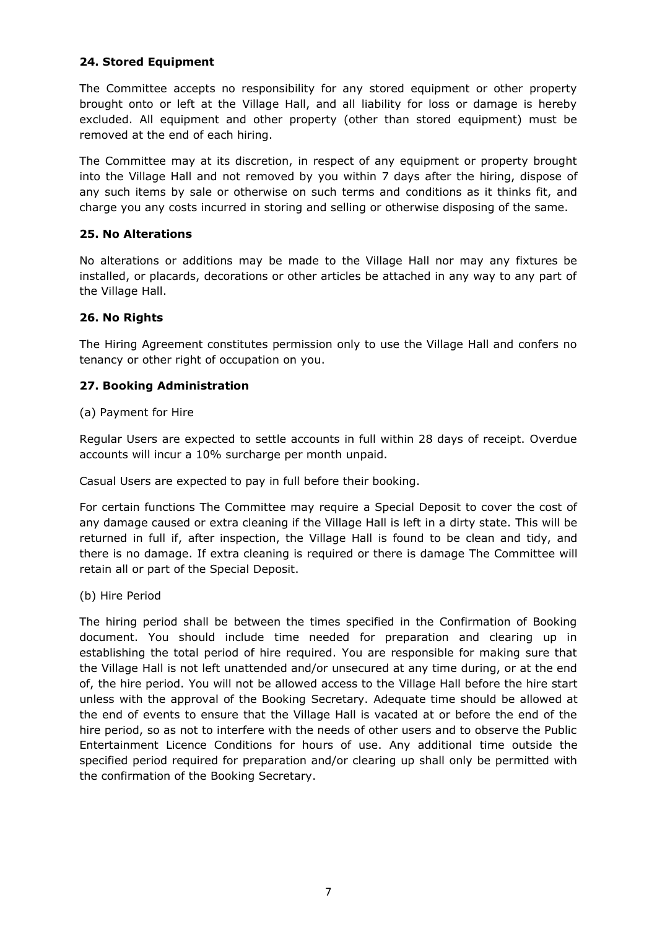#### **24. Stored Equipment**

The Committee accepts no responsibility for any stored equipment or other property brought onto or left at the Village Hall, and all liability for loss or damage is hereby excluded. All equipment and other property (other than stored equipment) must be removed at the end of each hiring.

The Committee may at its discretion, in respect of any equipment or property brought into the Village Hall and not removed by you within 7 days after the hiring, dispose of any such items by sale or otherwise on such terms and conditions as it thinks fit, and charge you any costs incurred in storing and selling or otherwise disposing of the same.

#### **25. No Alterations**

No alterations or additions may be made to the Village Hall nor may any fixtures be installed, or placards, decorations or other articles be attached in any way to any part of the Village Hall.

#### **26. No Rights**

The Hiring Agreement constitutes permission only to use the Village Hall and confers no tenancy or other right of occupation on you.

#### **27. Booking Administration**

(a) Payment for Hire

Regular Users are expected to settle accounts in full within 28 days of receipt. Overdue accounts will incur a 10% surcharge per month unpaid.

Casual Users are expected to pay in full before their booking.

For certain functions The Committee may require a Special Deposit to cover the cost of any damage caused or extra cleaning if the Village Hall is left in a dirty state. This will be returned in full if, after inspection, the Village Hall is found to be clean and tidy, and there is no damage. If extra cleaning is required or there is damage The Committee will retain all or part of the Special Deposit.

(b) Hire Period

The hiring period shall be between the times specified in the Confirmation of Booking document. You should include time needed for preparation and clearing up in establishing the total period of hire required. You are responsible for making sure that the Village Hall is not left unattended and/or unsecured at any time during, or at the end of, the hire period. You will not be allowed access to the Village Hall before the hire start unless with the approval of the Booking Secretary. Adequate time should be allowed at the end of events to ensure that the Village Hall is vacated at or before the end of the hire period, so as not to interfere with the needs of other users and to observe the Public Entertainment Licence Conditions for hours of use. Any additional time outside the specified period required for preparation and/or clearing up shall only be permitted with the confirmation of the Booking Secretary.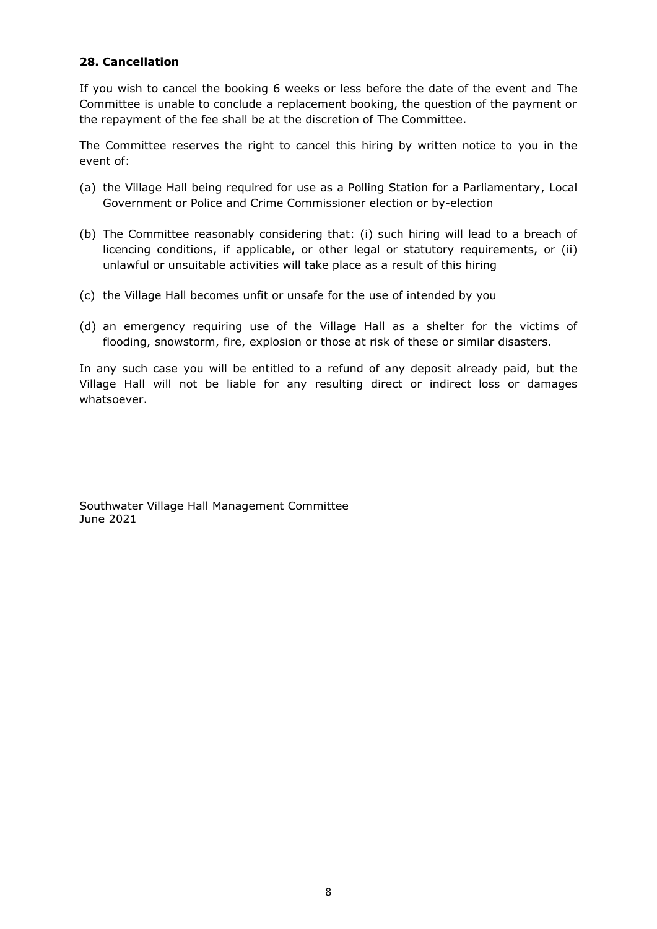#### **28. Cancellation**

If you wish to cancel the booking 6 weeks or less before the date of the event and The Committee is unable to conclude a replacement booking, the question of the payment or the repayment of the fee shall be at the discretion of The Committee.

The Committee reserves the right to cancel this hiring by written notice to you in the event of:

- (a) the Village Hall being required for use as a Polling Station for a Parliamentary, Local Government or Police and Crime Commissioner election or by-election
- (b) The Committee reasonably considering that: (i) such hiring will lead to a breach of licencing conditions, if applicable, or other legal or statutory requirements, or (ii) unlawful or unsuitable activities will take place as a result of this hiring
- (c) the Village Hall becomes unfit or unsafe for the use of intended by you
- (d) an emergency requiring use of the Village Hall as a shelter for the victims of flooding, snowstorm, fire, explosion or those at risk of these or similar disasters.

In any such case you will be entitled to a refund of any deposit already paid, but the Village Hall will not be liable for any resulting direct or indirect loss or damages whatsoever.

Southwater Village Hall Management Committee June 2021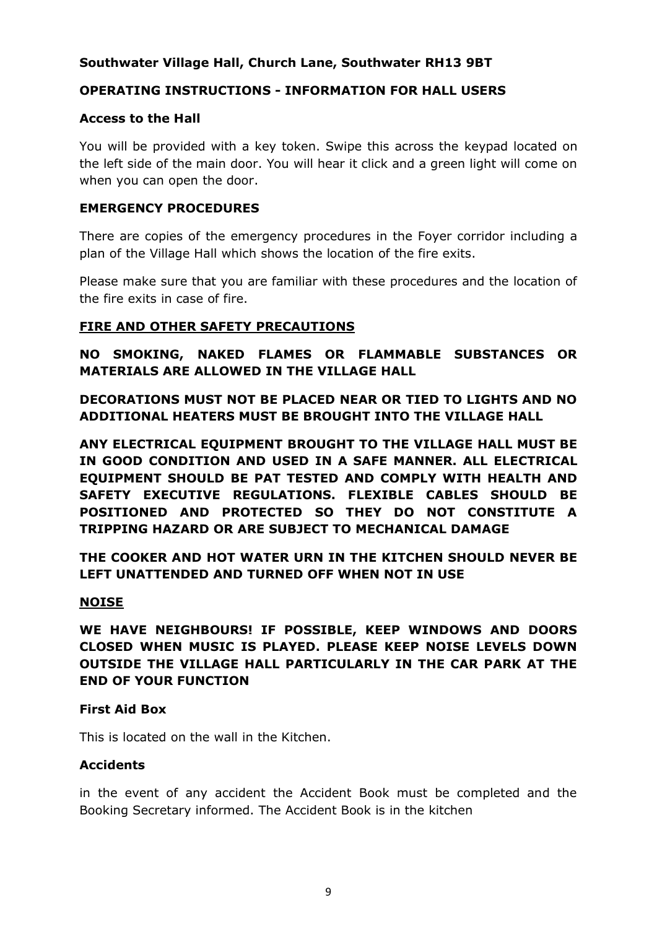# **Southwater Village Hall, Church Lane, Southwater RH13 9BT**

## **OPERATING INSTRUCTIONS - INFORMATION FOR HALL USERS**

## **Access to the Hall**

You will be provided with a key token. Swipe this across the keypad located on the left side of the main door. You will hear it click and a green light will come on when you can open the door.

## **EMERGENCY PROCEDURES**

There are copies of the emergency procedures in the Foyer corridor including a plan of the Village Hall which shows the location of the fire exits.

Please make sure that you are familiar with these procedures and the location of the fire exits in case of fire.

## **FIRE AND OTHER SAFETY PRECAUTIONS**

# **NO SMOKING, NAKED FLAMES OR FLAMMABLE SUBSTANCES OR MATERIALS ARE ALLOWED IN THE VILLAGE HALL**

**DECORATIONS MUST NOT BE PLACED NEAR OR TIED TO LIGHTS AND NO ADDITIONAL HEATERS MUST BE BROUGHT INTO THE VILLAGE HALL**

**ANY ELECTRICAL EQUIPMENT BROUGHT TO THE VILLAGE HALL MUST BE IN GOOD CONDITION AND USED IN A SAFE MANNER. ALL ELECTRICAL EQUIPMENT SHOULD BE PAT TESTED AND COMPLY WITH HEALTH AND SAFETY EXECUTIVE REGULATIONS. FLEXIBLE CABLES SHOULD BE POSITIONED AND PROTECTED SO THEY DO NOT CONSTITUTE A TRIPPING HAZARD OR ARE SUBJECT TO MECHANICAL DAMAGE**

**THE COOKER AND HOT WATER URN IN THE KITCHEN SHOULD NEVER BE LEFT UNATTENDED AND TURNED OFF WHEN NOT IN USE**

## **NOISE**

**WE HAVE NEIGHBOURS! IF POSSIBLE, KEEP WINDOWS AND DOORS CLOSED WHEN MUSIC IS PLAYED. PLEASE KEEP NOISE LEVELS DOWN OUTSIDE THE VILLAGE HALL PARTICULARLY IN THE CAR PARK AT THE END OF YOUR FUNCTION**

## **First Aid Box**

This is located on the wall in the Kitchen.

## **Accidents**

in the event of any accident the Accident Book must be completed and the Booking Secretary informed. The Accident Book is in the kitchen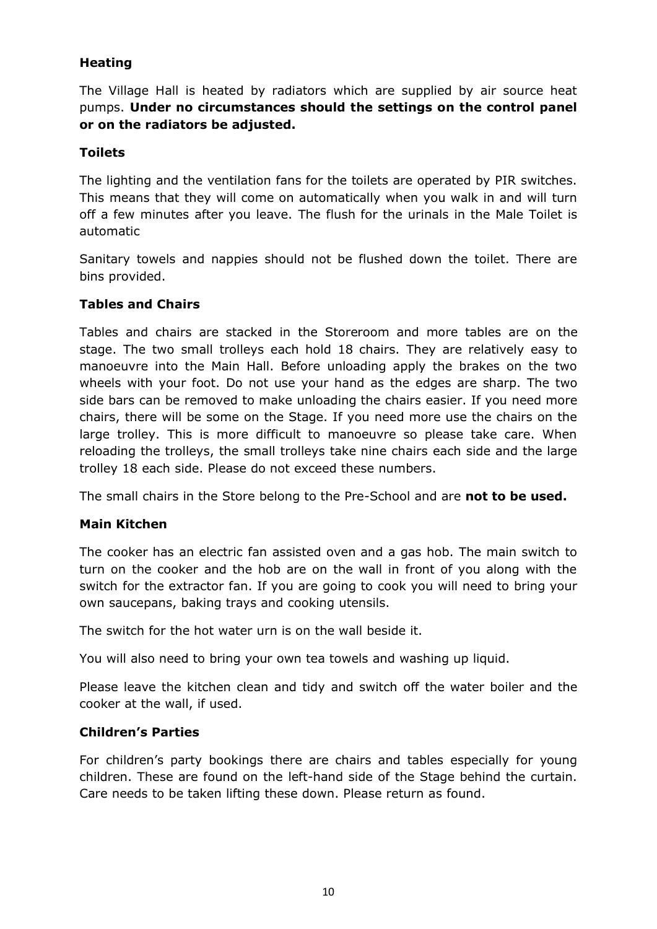# **Heating**

The Village Hall is heated by radiators which are supplied by air source heat pumps. **Under no circumstances should the settings on the control panel or on the radiators be adjusted.**

# **Toilets**

The lighting and the ventilation fans for the toilets are operated by PIR switches. This means that they will come on automatically when you walk in and will turn off a few minutes after you leave. The flush for the urinals in the Male Toilet is automatic

Sanitary towels and nappies should not be flushed down the toilet. There are bins provided.

## **Tables and Chairs**

Tables and chairs are stacked in the Storeroom and more tables are on the stage. The two small trolleys each hold 18 chairs. They are relatively easy to manoeuvre into the Main Hall. Before unloading apply the brakes on the two wheels with your foot. Do not use your hand as the edges are sharp. The two side bars can be removed to make unloading the chairs easier. If you need more chairs, there will be some on the Stage. If you need more use the chairs on the large trolley. This is more difficult to manoeuvre so please take care. When reloading the trolleys, the small trolleys take nine chairs each side and the large trolley 18 each side. Please do not exceed these numbers.

The small chairs in the Store belong to the Pre-School and are **not to be used.**

## **Main Kitchen**

The cooker has an electric fan assisted oven and a gas hob. The main switch to turn on the cooker and the hob are on the wall in front of you along with the switch for the extractor fan. If you are going to cook you will need to bring your own saucepans, baking trays and cooking utensils.

The switch for the hot water urn is on the wall beside it.

You will also need to bring your own tea towels and washing up liquid.

Please leave the kitchen clean and tidy and switch off the water boiler and the cooker at the wall, if used.

## **Children's Parties**

For children's party bookings there are chairs and tables especially for young children. These are found on the left-hand side of the Stage behind the curtain. Care needs to be taken lifting these down. Please return as found.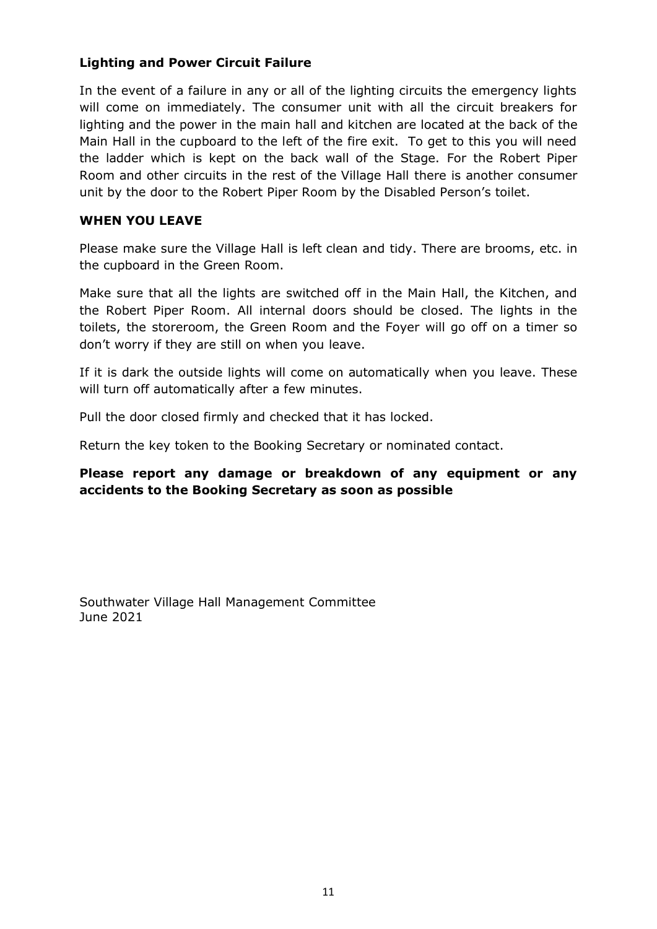# **Lighting and Power Circuit Failure**

In the event of a failure in any or all of the lighting circuits the emergency lights will come on immediately. The consumer unit with all the circuit breakers for lighting and the power in the main hall and kitchen are located at the back of the Main Hall in the cupboard to the left of the fire exit. To get to this you will need the ladder which is kept on the back wall of the Stage. For the Robert Piper Room and other circuits in the rest of the Village Hall there is another consumer unit by the door to the Robert Piper Room by the Disabled Person's toilet.

## **WHEN YOU LEAVE**

Please make sure the Village Hall is left clean and tidy. There are brooms, etc. in the cupboard in the Green Room.

Make sure that all the lights are switched off in the Main Hall, the Kitchen, and the Robert Piper Room. All internal doors should be closed. The lights in the toilets, the storeroom, the Green Room and the Foyer will go off on a timer so don't worry if they are still on when you leave.

If it is dark the outside lights will come on automatically when you leave. These will turn off automatically after a few minutes.

Pull the door closed firmly and checked that it has locked.

Return the key token to the Booking Secretary or nominated contact.

## **Please report any damage or breakdown of any equipment or any accidents to the Booking Secretary as soon as possible**

Southwater Village Hall Management Committee June 2021